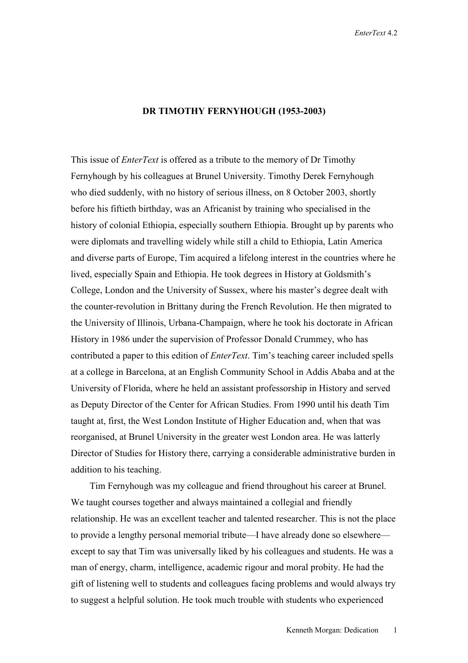## **DR TIMOTHY FERNYHOUGH (1953-2003)**

This issue of *EnterText* is offered as a tribute to the memory of Dr Timothy Fernyhough by his colleagues at Brunel University. Timothy Derek Fernyhough who died suddenly, with no history of serious illness, on 8 October 2003, shortly before his fiftieth birthday, was an Africanist by training who specialised in the history of colonial Ethiopia, especially southern Ethiopia. Brought up by parents who were diplomats and travelling widely while still a child to Ethiopia, Latin America and diverse parts of Europe, Tim acquired a lifelong interest in the countries where he lived, especially Spain and Ethiopia. He took degrees in History at Goldsmith's College, London and the University of Sussex, where his master's degree dealt with the counter-revolution in Brittany during the French Revolution. He then migrated to the University of Illinois, Urbana-Champaign, where he took his doctorate in African History in 1986 under the supervision of Professor Donald Crummey, who has contributed a paper to this edition of *EnterText*. Tim's teaching career included spells at a college in Barcelona, at an English Community School in Addis Ababa and at the University of Florida, where he held an assistant professorship in History and served as Deputy Director of the Center for African Studies. From 1990 until his death Tim taught at, first, the West London Institute of Higher Education and, when that was reorganised, at Brunel University in the greater west London area. He was latterly Director of Studies for History there, carrying a considerable administrative burden in addition to his teaching.

 Tim Fernyhough was my colleague and friend throughout his career at Brunel. We taught courses together and always maintained a collegial and friendly relationship. He was an excellent teacher and talented researcher. This is not the place to provide a lengthy personal memorial tribute—I have already done so elsewhere except to say that Tim was universally liked by his colleagues and students. He was a man of energy, charm, intelligence, academic rigour and moral probity. He had the gift of listening well to students and colleagues facing problems and would always try to suggest a helpful solution. He took much trouble with students who experienced